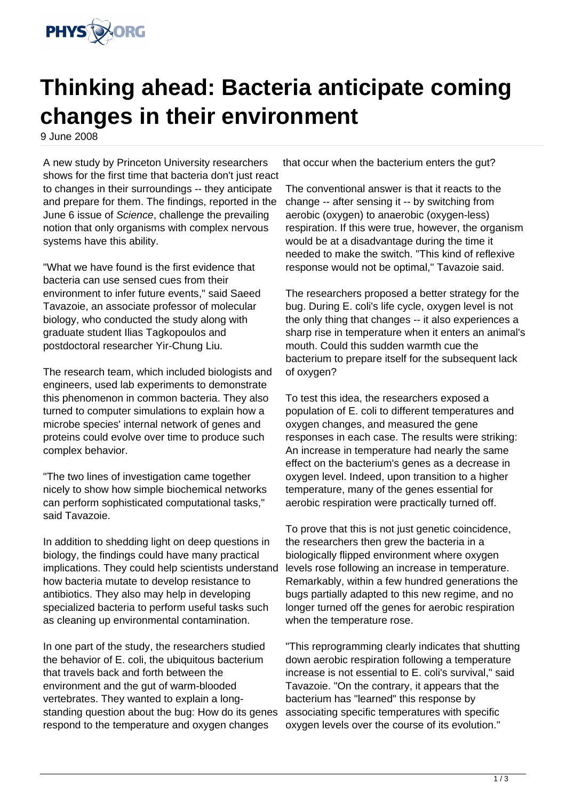

## **Thinking ahead: Bacteria anticipate coming changes in their environment**

9 June 2008

A new study by Princeton University researchers shows for the first time that bacteria don't just react to changes in their surroundings -- they anticipate and prepare for them. The findings, reported in the June 6 issue of Science, challenge the prevailing notion that only organisms with complex nervous systems have this ability.

"What we have found is the first evidence that bacteria can use sensed cues from their environment to infer future events," said Saeed Tavazoie, an associate professor of molecular biology, who conducted the study along with graduate student Ilias Tagkopoulos and postdoctoral researcher Yir-Chung Liu.

The research team, which included biologists and engineers, used lab experiments to demonstrate this phenomenon in common bacteria. They also turned to computer simulations to explain how a microbe species' internal network of genes and proteins could evolve over time to produce such complex behavior.

"The two lines of investigation came together nicely to show how simple biochemical networks can perform sophisticated computational tasks," said Tavazoie.

In addition to shedding light on deep questions in biology, the findings could have many practical implications. They could help scientists understand how bacteria mutate to develop resistance to antibiotics. They also may help in developing specialized bacteria to perform useful tasks such as cleaning up environmental contamination.

In one part of the study, the researchers studied the behavior of E. coli, the ubiquitous bacterium that travels back and forth between the environment and the gut of warm-blooded vertebrates. They wanted to explain a longstanding question about the bug: How do its genes respond to the temperature and oxygen changes

that occur when the bacterium enters the gut?

The conventional answer is that it reacts to the change -- after sensing it -- by switching from aerobic (oxygen) to anaerobic (oxygen-less) respiration. If this were true, however, the organism would be at a disadvantage during the time it needed to make the switch. "This kind of reflexive response would not be optimal," Tavazoie said.

The researchers proposed a better strategy for the bug. During E. coli's life cycle, oxygen level is not the only thing that changes -- it also experiences a sharp rise in temperature when it enters an animal's mouth. Could this sudden warmth cue the bacterium to prepare itself for the subsequent lack of oxygen?

To test this idea, the researchers exposed a population of E. coli to different temperatures and oxygen changes, and measured the gene responses in each case. The results were striking: An increase in temperature had nearly the same effect on the bacterium's genes as a decrease in oxygen level. Indeed, upon transition to a higher temperature, many of the genes essential for aerobic respiration were practically turned off.

To prove that this is not just genetic coincidence, the researchers then grew the bacteria in a biologically flipped environment where oxygen levels rose following an increase in temperature. Remarkably, within a few hundred generations the bugs partially adapted to this new regime, and no longer turned off the genes for aerobic respiration when the temperature rose.

"This reprogramming clearly indicates that shutting down aerobic respiration following a temperature increase is not essential to E. coli's survival," said Tavazoie. "On the contrary, it appears that the bacterium has "learned" this response by associating specific temperatures with specific oxygen levels over the course of its evolution."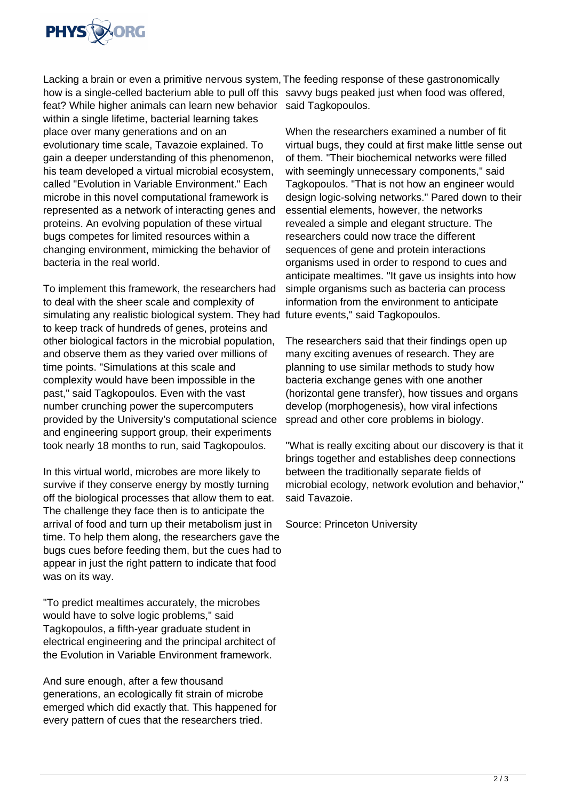

Lacking a brain or even a primitive nervous system, The feeding response of these gastronomically how is a single-celled bacterium able to pull off this savvy bugs peaked just when food was offered, feat? While higher animals can learn new behavior said Tagkopoulos. within a single lifetime, bacterial learning takes place over many generations and on an evolutionary time scale, Tavazoie explained. To gain a deeper understanding of this phenomenon, his team developed a virtual microbial ecosystem, called "Evolution in Variable Environment." Each microbe in this novel computational framework is represented as a network of interacting genes and proteins. An evolving population of these virtual bugs competes for limited resources within a changing environment, mimicking the behavior of bacteria in the real world.

To implement this framework, the researchers had to deal with the sheer scale and complexity of simulating any realistic biological system. They had future events," said Tagkopoulos. to keep track of hundreds of genes, proteins and other biological factors in the microbial population, and observe them as they varied over millions of time points. "Simulations at this scale and complexity would have been impossible in the past," said Tagkopoulos. Even with the vast number crunching power the supercomputers provided by the University's computational science and engineering support group, their experiments took nearly 18 months to run, said Tagkopoulos.

In this virtual world, microbes are more likely to survive if they conserve energy by mostly turning off the biological processes that allow them to eat. The challenge they face then is to anticipate the arrival of food and turn up their metabolism just in time. To help them along, the researchers gave the bugs cues before feeding them, but the cues had to appear in just the right pattern to indicate that food was on its way.

"To predict mealtimes accurately, the microbes would have to solve logic problems," said Tagkopoulos, a fifth-year graduate student in electrical engineering and the principal architect of the Evolution in Variable Environment framework.

And sure enough, after a few thousand generations, an ecologically fit strain of microbe emerged which did exactly that. This happened for every pattern of cues that the researchers tried.

When the researchers examined a number of fit virtual bugs, they could at first make little sense out of them. "Their biochemical networks were filled with seemingly unnecessary components," said Tagkopoulos. "That is not how an engineer would design logic-solving networks." Pared down to their essential elements, however, the networks revealed a simple and elegant structure. The researchers could now trace the different sequences of gene and protein interactions organisms used in order to respond to cues and anticipate mealtimes. "It gave us insights into how simple organisms such as bacteria can process information from the environment to anticipate

The researchers said that their findings open up many exciting avenues of research. They are planning to use similar methods to study how bacteria exchange genes with one another (horizontal gene transfer), how tissues and organs develop (morphogenesis), how viral infections spread and other core problems in biology.

"What is really exciting about our discovery is that it brings together and establishes deep connections between the traditionally separate fields of microbial ecology, network evolution and behavior," said Tavazoie.

Source: Princeton University